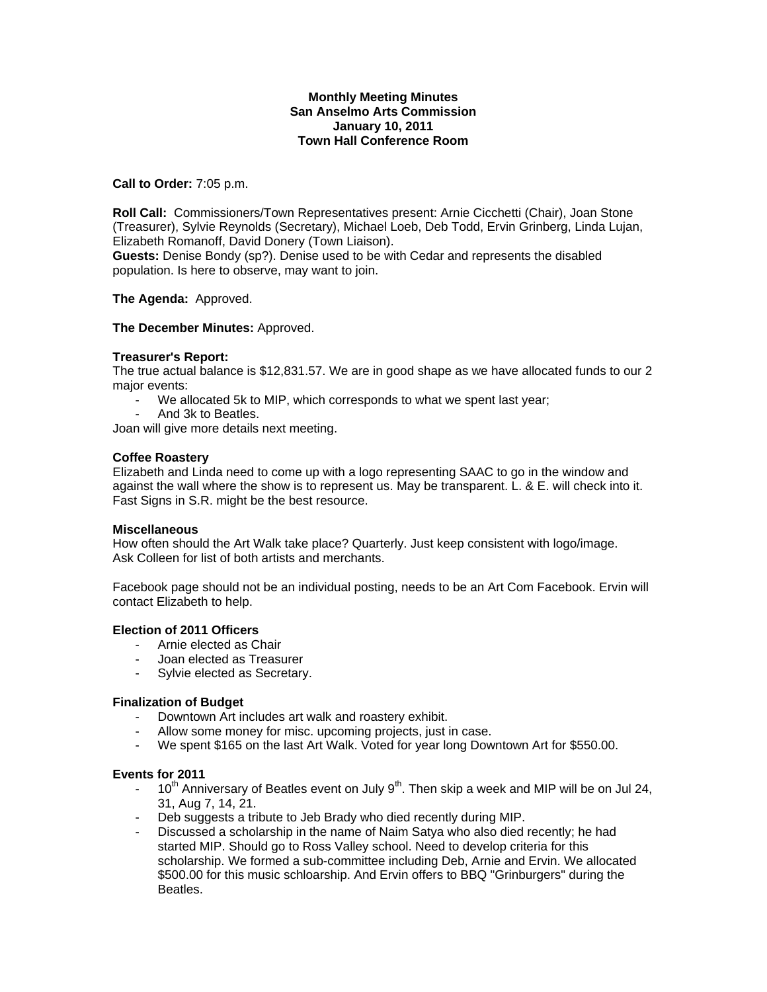## **Monthly Meeting Minutes San Anselmo Arts Commission January 10, 2011 Town Hall Conference Room**

# **Call to Order:** 7:05 p.m.

**Roll Call:** Commissioners/Town Representatives present: Arnie Cicchetti (Chair), Joan Stone (Treasurer), Sylvie Reynolds (Secretary), Michael Loeb, Deb Todd, Ervin Grinberg, Linda Lujan, Elizabeth Romanoff, David Donery (Town Liaison).

**Guests:** Denise Bondy (sp?). Denise used to be with Cedar and represents the disabled population. Is here to observe, may want to join.

### **The Agenda:** Approved.

### **The December Minutes:** Approved.

### **Treasurer's Report:**

The true actual balance is \$12,831.57. We are in good shape as we have allocated funds to our 2 major events:

- We allocated 5k to MIP, which corresponds to what we spent last year;
- And 3k to Beatles.

Joan will give more details next meeting.

# **Coffee Roastery**

Elizabeth and Linda need to come up with a logo representing SAAC to go in the window and against the wall where the show is to represent us. May be transparent. L. & E. will check into it. Fast Signs in S.R. might be the best resource.

### **Miscellaneous**

How often should the Art Walk take place? Quarterly. Just keep consistent with logo/image. Ask Colleen for list of both artists and merchants.

Facebook page should not be an individual posting, needs to be an Art Com Facebook. Ervin will contact Elizabeth to help.

# **Election of 2011 Officers**

- Arnie elected as Chair
- Joan elected as Treasurer
- Sylvie elected as Secretary.

### **Finalization of Budget**

- Downtown Art includes art walk and roastery exhibit.
- Allow some money for misc. upcoming projects, just in case.
- We spent \$165 on the last Art Walk. Voted for year long Downtown Art for \$550.00.

### **Events for 2011**

- $-10^{th}$  Anniversary of Beatles event on July 9<sup>th</sup>. Then skip a week and MIP will be on Jul 24, 31, Aug 7, 14, 21.
- Deb suggests a tribute to Jeb Brady who died recently during MIP.
- Discussed a scholarship in the name of Naim Satya who also died recently; he had started MIP. Should go to Ross Valley school. Need to develop criteria for this scholarship. We formed a sub-committee including Deb, Arnie and Ervin. We allocated \$500.00 for this music schloarship. And Ervin offers to BBQ "Grinburgers" during the Beatles.